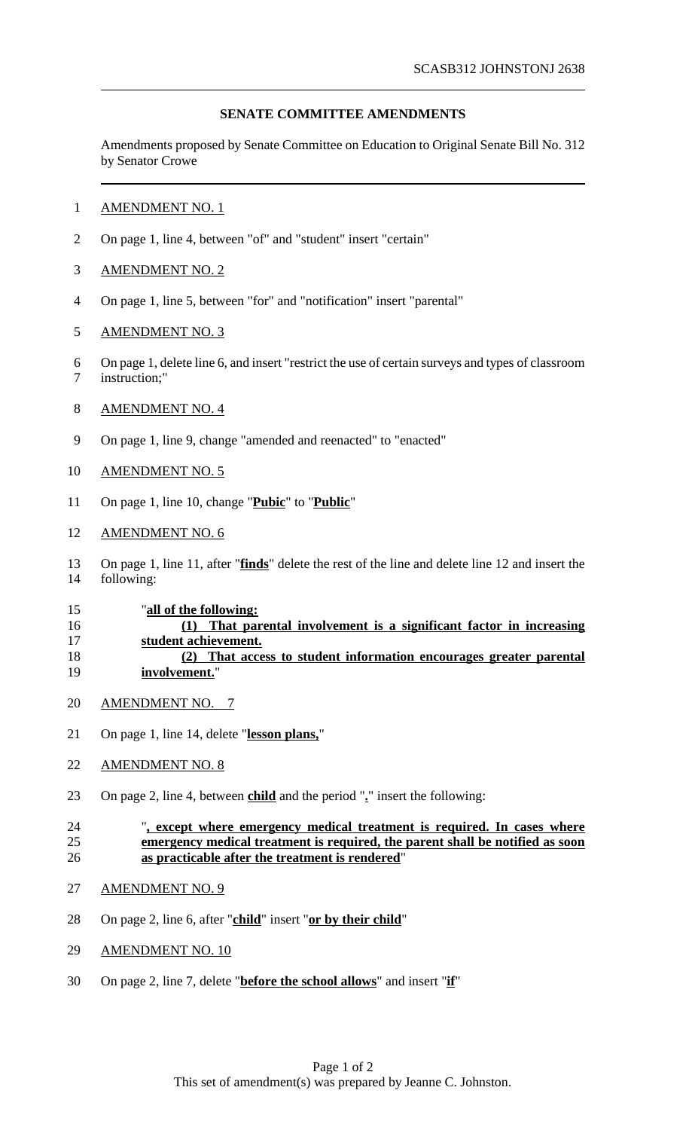# **SENATE COMMITTEE AMENDMENTS**

Amendments proposed by Senate Committee on Education to Original Senate Bill No. 312 by Senator Crowe

### AMENDMENT NO. 1

On page 1, line 4, between "of" and "student" insert "certain"

## AMENDMENT NO. 2

On page 1, line 5, between "for" and "notification" insert "parental"

## AMENDMENT NO. 3

 On page 1, delete line 6, and insert "restrict the use of certain surveys and types of classroom instruction;"

#### AMENDMENT NO. 4

On page 1, line 9, change "amended and reenacted" to "enacted"

#### AMENDMENT NO. 5

On page 1, line 10, change "**Pubic**" to "**Public**"

#### AMENDMENT NO. 6

 On page 1, line 11, after "**finds**" delete the rest of the line and delete line 12 and insert the following:

#### "**all of the following:**

## **(1) That parental involvement is a significant factor in increasing student achievement. (2) That access to student information encourages greater parental involvement.**"

- AMENDMENT NO. 7
- On page 1, line 14, delete "**lesson plans,**"
- AMENDMENT NO. 8
- On page 2, line 4, between **child** and the period "**.**" insert the following:

#### "**, except where emergency medical treatment is required. In cases where emergency medical treatment is required, the parent shall be notified as soon as practicable after the treatment is rendered**"

- AMENDMENT NO. 9
- On page 2, line 6, after "**child**" insert "**or by their child**"
- 29 AMENDMENT NO. 10
- On page 2, line 7, delete "**before the school allows**" and insert "**if**"